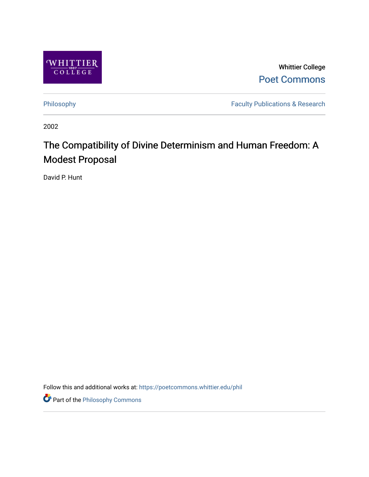

Whittier College [Poet Commons](https://poetcommons.whittier.edu/) 

[Philosophy](https://poetcommons.whittier.edu/phil) **Faculty Publications & Research** 

2002

# The Compatibility of Divine Determinism and Human Freedom: A Modest Proposal

David P. Hunt

Follow this and additional works at: [https://poetcommons.whittier.edu/phil](https://poetcommons.whittier.edu/phil?utm_source=poetcommons.whittier.edu%2Fphil%2F8&utm_medium=PDF&utm_campaign=PDFCoverPages)

**Part of the Philosophy Commons**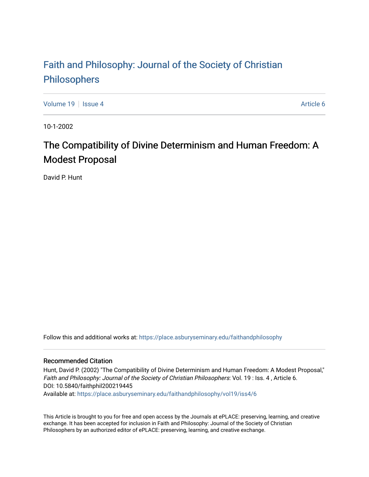# [Faith and Philosophy: Journal of the Society of Christian](https://place.asburyseminary.edu/faithandphilosophy)  [Philosophers](https://place.asburyseminary.edu/faithandphilosophy)

[Volume 19](https://place.asburyseminary.edu/faithandphilosophy/vol19) | [Issue 4](https://place.asburyseminary.edu/faithandphilosophy/vol19/iss4) Article 6

10-1-2002

# The Compatibility of Divine Determinism and Human Freedom: A Modest Proposal

David P. Hunt

Follow this and additional works at: [https://place.asburyseminary.edu/faithandphilosophy](https://place.asburyseminary.edu/faithandphilosophy?utm_source=place.asburyseminary.edu%2Ffaithandphilosophy%2Fvol19%2Fiss4%2F6&utm_medium=PDF&utm_campaign=PDFCoverPages)

### Recommended Citation

Hunt, David P. (2002) "The Compatibility of Divine Determinism and Human Freedom: A Modest Proposal," Faith and Philosophy: Journal of the Society of Christian Philosophers: Vol. 19 : Iss. 4 , Article 6. DOI: 10.5840/faithphil200219445

Available at: [https://place.asburyseminary.edu/faithandphilosophy/vol19/iss4/6](https://place.asburyseminary.edu/faithandphilosophy/vol19/iss4/6?utm_source=place.asburyseminary.edu%2Ffaithandphilosophy%2Fvol19%2Fiss4%2F6&utm_medium=PDF&utm_campaign=PDFCoverPages)

This Article is brought to you for free and open access by the Journals at ePLACE: preserving, learning, and creative exchange. It has been accepted for inclusion in Faith and Philosophy: Journal of the Society of Christian Philosophers by an authorized editor of ePLACE: preserving, learning, and creative exchange.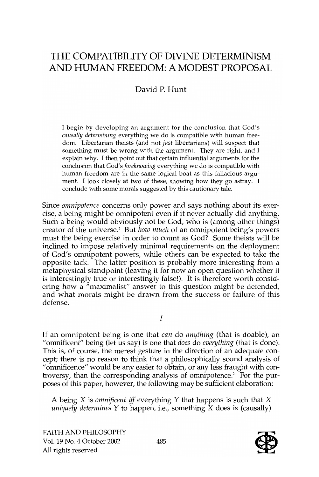# THE COMPATIBILITY OF DIVINE DETERMINISM AND HUMAN FREEDOM: A MODEST PROPOSAL

## David P. Hunt

I begin by developing an argument for the conclusion that God's *causally determining* everything we do is compatible with human freedom. Libertarian theists (and not *just* libertarians) will suspect that something must be wrong with the argument. They are right, and I explain why. I then point out that certain influential arguments for the conclusion that God's *foreknowing* everything we do is compatible with human freedom are in the same logical boat as this fallacious argument. I look closely at two of these, showing how they go astray. I conclude with some morals suggested by this cautionary tale.

Since *omnipotence* concerns only power and says nothing about its exercise, a being might be omnipotent even if it never actually did anything. Such a being would obviously not be God, who is (among other things) creator of the universe.<sup>1</sup> But *how much* of an omnipotent being's powers must the being exercise in order to count as God? Some theists will be inclined to impose relatively minimal requirements on the deployment of God's omnipotent powers, while others can be expected to take the opposite tack. The latter position is probably more interesting from a metaphysical standpoint (leaving it for now an open question whether it is interestingly true or interestingly false!). It is therefore worth considering how a "maximalist" answer to this question might be defended, and what morals might be drawn from the success or failure of this defense.

If an omnipotent being is one that *can* do *anything* (that is doable), an "omnificent" being (let us say) is one that *does* do *everything* (that is done). This is, of course, the merest gesture in the direction of an adequate concept; there is no reason to think that a philosophically sound analysis of "omnificence" would be any easier to obtain, or any less fraught with controversy, than the corresponding analysis of omnipotence.<sup>2</sup> For the purposes of this paper, however, the following may be sufficient elaboration:

I

A being X is *omnificent* iff everything Y that happens is such that X *uniquely determines Y* to happen, i.e., something  $\hat{X}$  does is (causally)

FAITH AND PHILOSOPHY Vol. 19 No.4 October 2002 All rights reserved

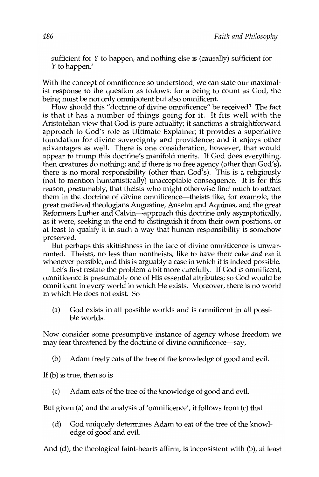sufficient for  $Y$  to happen, and nothing else is (causally) sufficient for  $Y$  to happen.<sup>3</sup>

With the concept of omnificence so understood, we can state our maximalist response to the question as follows: for a being to count as God, the being must be not only omnipotent but also omnificent.

How should this "doctrine of divine omnificence" be received? The fact is that it has a number of things going for it. It fits well with the Aristotelian view that God is pure actuality; it sanctions a straightforward approach to God's role as Ultimate Explainer; it provides a superlative foundation for divine sovereignty and providence; and it enjoys other advantages as well. There is one consideration, however, that would appear to trump this doctrine's manifold merits. If God does everylhing, then creatures do nothing; and if there is no free agency (other than God's), there is no moral responsibility (other than God's). This is a religiously (not to mention humanistically) unacceptable consequence. It is for this reason, presumably, that theists who might otherwise find much to attract them in the doctrine of divine omnificence-theists like, for example, the great medieval theologians Augustine, Anselm and Aquinas, and the great Reformers Luther and Calvin-approach this doctrine only asymptotically, as it were, seeking in the end to distinguish it from their own positions, or at least to qualify it in such a way that human responsibility is somehow preserved.

But perhaps this skittishness in the face of divine omnificence is unwarranted. Theists, no less than nontheists, like to have their cake *and* eat it whenever possible, and this is arguably a case in which it is indeed possible.

Let's first restate the problem a bit more carefully. If God is omnificent, omnificence is presumably one of His essential attributes; so God would be omnificent in every world in which He exists. Moreover, there is no world in which He does not exist. So

(a) God exists in all possible worlds and is omnificent in all possible worlds.

Now consider some presumptive instance of agency whose freedom we may fear threatened by the doctrine of divine omnificence—say,

(b) Adam freely eats of the tree of the knowledge of good and evil.

If (b) is true, then so is

(c) Adam eats of the tree of the knowledge of good and evil.

But given (a) and the analysis of 'omnificence', it follows from (c) that

(d) God uniquely determines Adam to eat of the tree of the knowledge of good and evil.

And (d), the theological faint-hearts affirm, is inconsistent with (b), at least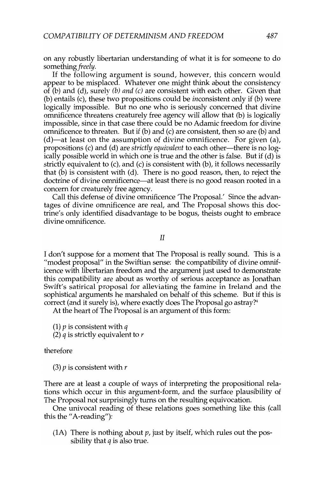on any robustly libertarian understanding of what it is for someone to do something *freely.* 

If the following argument is sound, however, this concern would appear to be misplaced. Whatever one might think about the consistency of (b) and (d), surely  $(b)$  and  $(c)$  are consistent with each other. Given that (b) entails (c), these two propositions could be inconsistent only if (b) were logically impossible. But no one who is seriously concerned that divine omnificence threatens creaturely free agency will allow that (b) is logically impossible, since in that case there could be no Adamic freedom for divine omnificence to threaten. But if (b) and (c) are consistent, then so are (b) and (d)-at least on the assumption of divine omnificence. For given (a), propositions (c) and (d) are *strictly equivalent* to each other-there is no logically possible world in which one is true and the other is false. But if (d) is strictly equivalent to (c), and (c) is consistent with (b), it follows necessarily that (b) is consistent with (d). There is no good reason, then, to reject the doctrine of divine omnificence—at least there is no good reason rooted in a concern for creaturely free agency.

Call this defense of divine omnificence 'The Proposal.' Since the advantages of divine omnificence are real, and The Proposal shows this doctrine's only identified disadvantage to be bogus, theists ought to embrace divine omnificence.

II

I don't suppose for a moment that The Proposal is really sound. This is a "modest proposal" in the Swiftian sense: the compatibility of divine omnificence with libertarian freedom and the argument just used to demonstrate this compatibility are about as worthy of serious acceptance as Jonathan Swift's satirical proposal for alleviating the famine in Ireland and the sophistical arguments he marshaled on behalf of this scheme. But if this is correct (and it surely is), where exactly does The Proposal go astray?4

At the heart of The Proposal is an argument of this form:

 $(1)$  *p* is consistent with *q* (2) *q* is strictly equivalent to *r* 

therefore

(3)  $p$  is consistent with  $r$ 

There are at least a couple of ways of interpreting the propositional relations which occur in this argument-form, and the surface plausibility of The Proposal not surprisingly turns on the resulting equivocation.

One univocal reading of these relations goes something like this (call this the "A-reading"):

(1A) There is nothing about  $p$ , just by itself, which rules out the possibility that  $q$  is also true.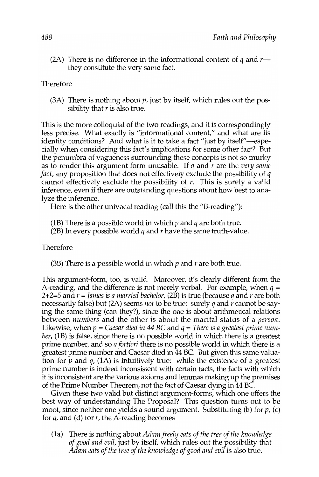(2A) There is no difference in the informational content of q and *r*they constitute the very same fact.

### Therefore

(3A) There is nothing about  $p$ , just by itself, which rules out the possibility that  $r$  is also true.

This is the more colloquial of the two readings, and it is correspondingly less precise. What exactly is "informational content," and what are its identity conditions? And what is it to take a fact "just by itself"—especially when considering this fact's implications for some other fact? But the penumbra of vagueness surrounding these concepts is not so murky as to render this argument-form unusable. If *q* and *r* are the *very same fact,* any proposition that does not effectively exclude the possibility of *q*  cannot effectively exclude the possibility of  $r$ . This is surely a valid inference, even if there are outstanding questions about how best to analyze the inference.

Here is the other univocal reading (call this the "B-reading"):

- (1B) There is a possible world in which *p* and *q* are both true.
- (2B) In every possible world *q* and r have the same truth-value.

#### Therefore

(3B) There is a possible world in which  $p$  and  $r$  are both true.

This argument-form, too, is valid. Moreover, it's clearly different from the A-reading, and the difference is not merely verbal. For example, when q *=*  2+2=5 and *r* = *James is a married bachelor,* (2B) is true (because *q* and *r* are both necessarily false) but (2A) seems *not* to be true: surely *q* and *r* cannot be saying the same thing (can they?), since the one is about arithmetical relations between *numbers* and the other is about the marital status of a *person.*  Likewise, when  $p =$  *Caesar died in 44 BC* and  $q =$  *There is a greatest prime num*ber, (1B) is false, since there is no possible world in which there is a greatest prime number, and so *a fortiori* there is no possible world in which there is a greatest prime number and Caesar died in 44 BC. But given this same valuation for p and q,  $(1A)$  is intuitively true: while the existence of a greatest prime number is indeed inconsistent with certain facts, the facts with which it is inconsistent are the various axioms and lemmas making up the premises of the Prime Number Theorem, not the fact of Caesar dying in 44 BC

Given these two valid but distinct argument-forms, which one offers the best way of understanding The Proposal? This question turns out to be moot, since neither one yields a sound argument. Substituting (b) for  $p$ , (c) for *q,* and (d) for *r,* the A-reading becomes

(la) There is nothing about *Adam freely eats of the tree of the knowledge of good and evil,* just by itself, which rules out the possibility that *Adam eats of the tree of the knowledge of good and evil* is also true.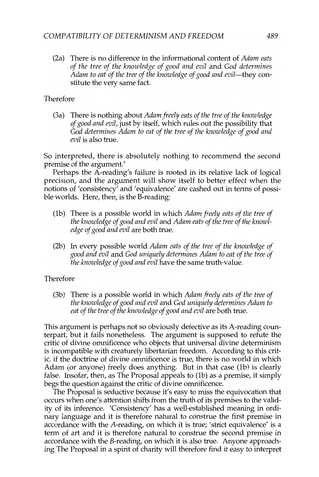(2a) There is no difference in the informational content of *Adam eats of the tree of the knowledge of good and evil* and *God determines Adam to eat of the tree of the knowledge of good and evil-they* constitute the very same fact.

#### Therefore

(3a) There is nothing about *Adam freely eats of the tree of the knowledge of good and evil,* just by itself, which rules out the possibility that *God determines Adam to eat of the tree of the knowledge of good and evil* is also true.

So interpreted, there is absolutely nothing to recommend the second premise of the argument.<sup>5</sup>

Perhaps the A-reading's failure is rooted in its relative lack of logical precision, and the argument will show itself to better effect when the notions of 'consistency' and' equivalence' are cashed out in terms of possible worlds. Here, then, is the B-reading:

- (lb) There is a possible world in which *Adam freely eats of the tree of the knowledge of good and evil* and *Adam eats of the tree of the knowledge of good and evil* are both true.
- (2b) In every possible world *Adam eats of the tree of the knowledge of good and C'ui!* and *God uniquely determines Adam to eat of the tree of the knowledge of good and evil* have the same truth-value.

#### Therefore

(3b) There is a possible world in which *Adam freely eats of the tree of the knowledge of good and evil* and *God uniquely determines Adam to eat of the tree of the knowledge of good and evil* are both true.

This argument is perhaps not so obviously defective as its A-reading counterpart, but it fails nonetheless. The argument is supposed to refute the critie of divine omnifieence who objects that universal divine determinism is incompatible with creaturely libertarian freedom. According to this critie, if the doctrine of divine omnifieence is true, there is no world in which Adam (or anyone) freely does anything. But in that case (lb) is clearly false. Insofar, then, as The Proposal appeals to (lb) as a premise, it simply begs the question against the critic of divine omnificence.

The Proposal is seductive because it's easy to miss the equivocation that occurs when one's attention shifts from the truth of its premises to the validity of its inference. 'Consistency' has a well-established meaning in ordinary language and it is therefore natural to construe the first premise in accordance with the A-reading, on which it is true; 'strict equivalence' is a term of art and it is therefore natural to construe the second premise in accordance with the B-reading, on which it is also true. Anyone approaching The Proposal in a spirit of charity will therefore find it easy to interpret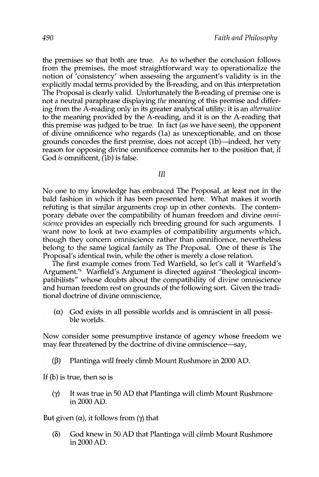the premises so that both are true. As to whether the conclusion follows from the premises, the most straightforward way to operationalize the notion of 'consistency' when assessing the argument's validity is in the explicitly modal terms provided by the B-reading, and on this interpretation The Proposal is clearly valid. Unfortunately the B-reading of premise one is not a neutral paraphrase displaying *the* meaning of this premise and differing from the A-reading only in its greater analytical utility; it is an *alternative*  to the meaning provided by the A-reading, and it is on the A-reading that this premise was judged to be true. In fact (as we have seen), the opponent of divine omnificence who regards (la) as unexceptionable, and on those grounds concedes the first premise, does not accept (1b)-indeed, her very reason for opposing divine omnificence commits her to the position that, if God *is* omnificent, (lb) is false.

#### III

No one to my knowledge has embraced The Proposal, at least not in the bald fashion in which it has been presented here. What makes it worth refuting is that similar arguments crop up in other contexts. The contemporary debate over the compatibility of human freedom and divine *omniscience* provides an especially rich breeding ground for such arguments. I want now to look at two examples of compatibility arguments which, though they concern omniscience rather than omnificence, nevertheless belong to the same logical family as The Proposal. One of these is The Proposal's identical twin, while the other is merely a close relation.

The first example comes from Ted Warfield, so let's call it 'Warfield's Argument.<sup>"</sup> Warfield's Argument is directed against "theological incompatibilists" whose doubts about the compatibility of divine omniscience and human freedom rest on grounds of the following sort. Given the traditional doctrine of divine omniscience,

 $(\alpha)$  God exists in all possible worlds and is omniscient in all possible worlds.

Now consider some presumptive instance of agency whose freedom we may fear threatened by the doctrine of divine omniscience--say,

 $(\beta)$  Plantinga will freely climb Mount Rushmore in 2000 AD.

If (b) is true, then so is

(y) It was true in 50 AD that Plantinga will climb Mount Rushmore in 2000 AD.

But given  $(\alpha)$ , it follows from  $(\gamma)$  that

 $\delta$  God knew in 50 AD that Plantinga will climb Mount Rushmore in 2000 AD.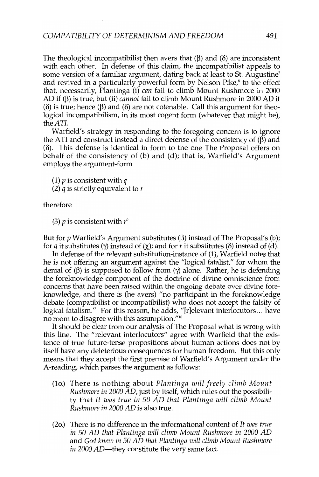The theological incompatibilist then avers that  $(\beta)$  and  $(\delta)$  are inconsistent with each other. In defense of this claim, the incompatibilist appeals to some version of a familiar argument, dating back at least to St. Augustine and revived in a particularly powerful form by Nelson Pike, $\delta$  to the effect that, necessarily, Plantinga (i) *can* fail to climb Mount Rushmore in 2000 AD if (P) is true, but (ii) *cannot* fail to climb Mount Rushmore in 2000 AD if  $(\delta)$  is true; hence  $(\beta)$  and  $(\delta)$  are not cotenable. Call this argument for theological incompatibilism, in its most cogent form (whatever that might be), the AT!.

Warfield's strategy in responding to the foregoing concern is to ignore the ATI and construct instead a direct defense of the consistency of  $(\vec{B})$  and (6). This defense is identical in form to the one The Proposal offers on behalf of the consistency of (b) and (d); that is, Warfield's Argument employs the argument-form

(1)  $p$  is consistent with  $q$ 

(2) *q* is strictly equivalent to r

therefore

(3) *p* is consistent with  $r^9$ 

But for p Warfield's Argument substitutes  $(\beta)$  instead of The Proposal's  $(b)$ ; for q it substitutes ( $\gamma$ ) instead of  $(\chi)$ ; and for r it substitutes ( $\delta$ ) instead of (d).

In defense of the relevant substitution-instance of (1), Warfield notes that he is not offering an argument against the "logical fatalist," for whom the denial of  $(\beta)$  is supposed to follow from  $(\gamma)$  alone. Rather, he is defending the foreknowledge component of the doctrine of divine omniscience from concerns that have been raised within the ongoing debate over divine foreknowledge, and there is (he avers) "no participant in the foreknowledge debate (compatibilist or incompatibilist) who does not accept the falsity of logical fatalism." For this reason, he adds, "[r]elevant interlocutors... have no room to disagree with this assumption."<sup>10</sup>

It should be clear from our analysis of The Proposal what is wrong with this line. The "relevant interlocutors" agree with Warfield that the existence of true future-tense propositions about human actions does not by itself have any deleterious consequences for human freedom. But this only means that they accept the first premise of Warfield's Argument under the A-reading, which parses the argument as follows:

- (1 a) There is nothing about *Plantinga will freely climb Mount Rushmore in 2000 AD,* just by itself, which rules out the possibility that It *was true in* 50 *AD that Plantinga will climb Mount Rushmore in 2000 AD* is also true.
- (2a) There is no difference in the informational content of *It was true in* 50 AD *that Plantinga will climb Mount Rushmore in 2000* AD and *God knew in* 50 *AD that Plantinga will climb Mount Rushmore in 2000 AD*—they constitute the very same fact.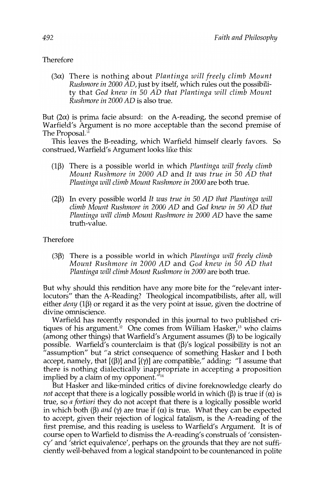### Therefore

(3a) There is nothing about *Plantinga will freely climb Mount Rushmore in 2000 AD,* just by itself, which rules out the possibility that *God knew in* 50 *AD that Plantinga will climb Mount Rushmore in 2000 AD* is also true.

But  $(2\alpha)$  is prima facie absurd: on the A-reading, the second premise of Warfield's Argument is no more acceptable than the second premise of The Proposal.<sup>11</sup>

This leaves the B-reading, which Warfield himself clearly favors. So construed, Warfield's Argument looks like this:

- (1~) There is a possible world in which *Plantinga will freely climb Mount Rushmore in 2000 AD* and *It was true in* 50 *AD that Plantinga will climb Mount Rushmore in 2000* are both true.
- (2<sub>B</sub>) In every possible world *It was true in 50 AD that Plantinga will climb Mount Rushmore in* 2000 *AD* and *God knew in* 50 *AD that Plantinga will climb Mount Rushmore in* 2000 *AD* have the same truth-value.

Therefore

(3<sup>8</sup>) There is a possible world in which *Plantinga will freely climb Mount Rushmore* in 2000 *AD* and *God knew in* 50 *AD that Plantinga will climb Mount Rushmore in* 2000 are both true.

But why should this rendition have any more bite for the "relevant interlocutors" than the A-Reading? Theological incompatibilists, after all, will either *deny* (1 $\beta$ ) or regard it as the very point at issue, given the doctrine of divine omniscience.

Warfield has recently responded in this journal to two published critiques of his argument.<sup>12</sup> One comes from William Hasker,<sup>13</sup> who claims (among other things) that Warfield's Argument assumes  $(\beta)$  to be logically possible. Warfield's counterclaim is that  $(\beta)'$ s logical possibility is not an "assumption" but "a strict consequence of something Hasker and I both accept, namely, that  $[(\beta)]$  and  $[(\gamma)]$  are compatible," adding: "I assume that there is nothing dialectically inappropriate in accepting a proposition implied by a claim of my opponent."14

But Hasker and like-minded critics of divine foreknowledge clearly do *not* accept that there is a logically possible world in which  $(\beta)$  is true if  $(\alpha)$  is true, so *a fortiori* they do not accept that there is a logically possible world in which both  $(\beta)$  *and*  $(\gamma)$  are true if  $(\alpha)$  is true. What they can be expected to accept, given their rejection of logical fatalism, is the A-reading of the first premise, and this reading is useless to Warfield's Argument. It is of course open to Warfield to dismiss the A-reading's construals of 'consistency' and 'strict equivalence', perhaps on the grounds that they are not sufficiently well-behaved from a logical standpoint to be countenanced in polite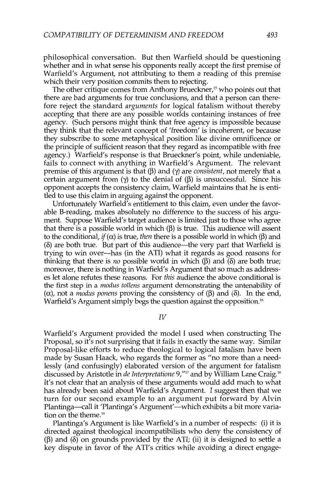philosophical conversation. But then Warfield should be questioning whether and in what sense his opponents really accept the first premise of Warfield's Argument, not attributing to them a reading of this premise which their very position commits them to rejecting.

The other critique comes from Anthony Brueckner," who points out that there are bad arguments for true conclusions, and that a person can therefore reject the standard *arguments* for logical fatalism without thereby accepting that there are any possible worlds containing instances of free agency. (Such persons might think that free agency is impossible because they think that the relevant concept of 'freedom' is incoherent, or because they subscribe to some metaphysical position like divine omnificence or the principle of sufficient reason that they regard as incompatible with free agency.) Warfield's response is that Brueckner's point, while undeniable, fails to connect with anything in Warfield's Argument. The relevant premise of this argument is that  $(\beta)$  and  $(\gamma)$  are *consistent*, not merely that a certain argument from  $(y)$  to the denial of  $(\beta)$  is unsuccessful. Since his opponent accepts the consistency claim, Warfield maintains that he is entitled to use this claim in arguing against the opponent.

Unfortunately Warfield's entitlement to this claim, even under the favorable B-reading, makes absolutely no difference to the success of his argument. Suppose Warfield's target audience is limited just to those who agree that there is a possible world in which  $(\beta)$  is true. This audience will assent to the conditional, *if* ( $\alpha$ ) is true, *then* there is a possible world in which ( $\beta$ ) and  $(\delta)$  are both true. But part of this audience—the very part that Warfield is trying to win over-has (in the A TI) what it regards as good reasons for thinking that there is *no* possible world in which  $(\beta)$  and  $(\delta)$  are both true; moreover, there is nothing in Warfield's Argument that so much as addresses let alone refutes these reasons. For *this* audience the above conditional is the first step in a *modus tollens* argument demonstrating the untenability of  $(\alpha)$ , not a *modus ponens* proving the consistency of  $(\beta)$  and  $(\delta)$ . In the end, Warfield's Argument simply begs the question against the opposition.<sup>16</sup>

*IV* 

Warfield's Argument provided the model I used when constructing The Proposal, so it's not surprising that it fails in exactly the same way. Similar Proposal-like efforts to reduce theological to logical fatalism have been made by Susan Haack, who regards the former as "no more than a needlessly (and confusingly) elaborated version of the argument for fatalism discussed by Aristotle in *de Interpretatione* 9,"<sup>17</sup> and by William Lane Craig.<sup>18</sup> It's not clear that an analysis of these arguments would add much to what has already been said about Warfield's Argument. I suggest then that we turn for our second example to an argument put forward by Alvin Plantinga—call it 'Plantinga's Argument'—which exhibits a bit more variation on the theme.<sup>19</sup>

Plantinga's Argument is like Warfield's in a number of respects: (i) it is directed against theological incompatibilists who deny the consistency of  $(\beta)$  and  $(\delta)$  on grounds provided by the ATI; (ii) it is designed to settle a key dispute in favor of the ATI's critics while avoiding a direct engage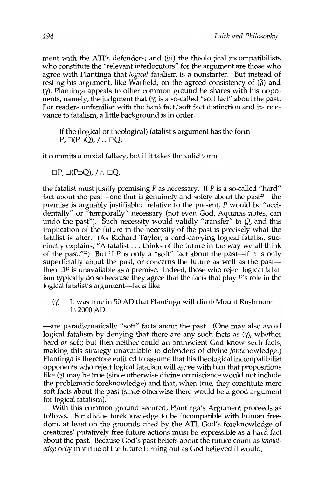ment with the ATI's defenders; and (iii) the theological incompatibilists who constitute the "relevant interlocutors" for the argument are those who agree with Plantinga that *logical* fatalism is a nonstarter. But instead of resting his argument, like Warfield, on the agreed consistency of  $(\beta)$  and (y), Plantinga appeals to other common ground he shares with his opponents, namely, the judgment that (y) is a so-called "soft fact" about the past. For readers unfamiliar with the hard fact/soft fact distinction and its relevance to fatalism, a little background is in order.

If the (logical or theological) fatalist's argument has the form  $P, \Box (P \supset Q), / \colon \Box Q,$ 

it commits a modal fallacy, but if it takes the valid form

 $\Box P$ ,  $\Box (P \Box Q)$ , /  $\therefore$   $\Box Q$ ,

the fatalist must justify premising  $P$  as necessary. If  $P$  is a so-called "hard" fact about the past—one that is genuinely and solely about the past<sup>20</sup>—the premise is arguably justifiable: relative to the present, P would be "accidentally" or "temporally" necessary (not even God, Aquinas notes, can undo the past<sup>21</sup>). Such necessity would validly "transfer" to  $Q$ , and this implication of the future in the necessity of the past is precisely what the fatalist is after. (As Richard Taylor, a card-carrying logical fatalist, succinctly explains, "A fatalist ... thinks of the future in the way we all think of the past."<sup>22</sup>) But if P is only a "soft" fact about the past—if it is only superficially about the past, or concerns the future as well as the pastthen  $\Box P$  is unavailable as a premise. Indeed, those who reject logical fatalism typically do so because they agree that the facts that play P's role in the logical fatalist's argument-facts like

 $(y)$  It was true in 50 AD that Plantinga will climb Mount Rushmore in 2000 AD

-are paradigmatically "soft" facts about the past. (One may also avoid logical fatalism by denying that there are any such facts as (y), whether hard *or* soft; but then neither could an omniscient God know such facts, making this strategy unavailable to defenders of divine *foreknowledge.)*  Plantinga is therefore entitled to assume that his theological incompatibilist opponents who reject logical fatalism will agree with him that propositions like (y) may be true (since otherwise divine omniscience would not include the problematic foreknowledge) and that, when true, they constitute mere soft facts about the past (since otherwise there would be a good argument for logical fatalism).

With this common ground secured, Plantinga's Argument proceeds as follows. For divine foreknowledge to be incompatible with human freedom, at least on the grounds cited by the ATI, God's foreknowledge of creatures' putatively free future actions must be expressible as a hard fact about the past. Because God's past beliefs about the future count as *knowledge* only in virtue of the future turning out as God believed it would,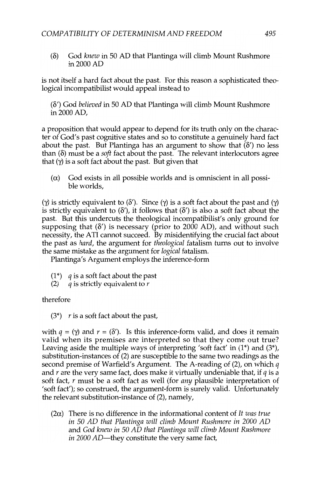(8) God *knew* in 50 AD that Plantinga will climb Mount Rushmore in 2000 AD

is not itself a hard fact about the past. For this reason a sophisticated theological incompatibilist would appeal instead to

(8') God *believed* in 50 AD that Plantinga will climb Mount Rushmore in 2000 AD,

a proposition that would appear to depend for its truth only on the character of God's past cognitive states and so to constitute a genuinely hard fact about the past. But Plantinga has an argument to show that  $(\delta')$  no less than (8) must be a *soft* fact about the past. The relevant interlocutors agree that  $(y)$  is a soft fact about the past. But given that

 $(\alpha)$  God exists in all possible worlds and is omniscient in all possible worlds,

 $(\gamma)$  is strictly equivalent to  $(\delta')$ . Since  $(\gamma)$  is a soft fact about the past and  $(\gamma)$ is strictly equivalent to  $(\delta')$ , it follows that  $(\delta')$  is also a soft fact about the past. But this undercuts the theological incompatibilist's only ground for supposing that  $(\delta')$  is necessary (prior to 2000 AD), and without such necessity, the ATI cannot succeed. By misidentifying the crucial fact about the past as *hard,* the argument for *theological* fatalism turns out to involve the same mistake as the argument for *logical* fatalism.

Plantinga's Argument employs the inference-form

- $(1^*)$  q is a soft fact about the past
- (2) *q* is strictly equivalent to *r*

therefore

 $(3^*)$  r is a soft fact about the past,

with  $q = (\gamma)$  and  $r = (\delta')$ . Is this inference-form valid, and does it remain valid when its premises are interpreted so that they come out true? Leaving aside the multiple ways of interpreting 'soft fact' in (1\*) and (3\*), substitution-instances of (2) are susceptible to the same two readings as the second premise of Warfield's Argument. The A-reading of (2), on which *q*  and r are the very same fact, does make it virtually undeniable that, if  $q$  is a soft fact, *r* must be a soft fact as well (for *any* plausible interpretation of 'soft fact'); so construed, the argument-form is surely valid. Unfortunately the relevant substitution-instance of (2), namely,

(2a) There is no difference in the informational content of It *was true in* 50 *AD that Plantinga will climb Mount Rushmore in* 2000 *AD*  and *God knew in* 50 *AD that Plantinga will climb Mount Rushmore in* 2000 *AD-they* constitute the very same fact,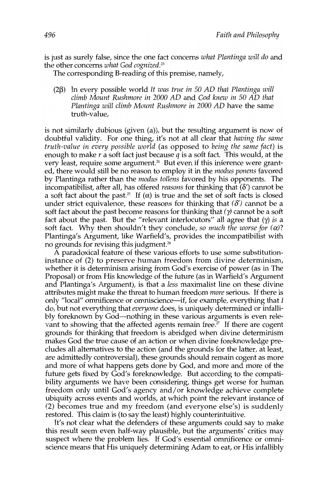is just as surely false, since the one fact concerns *what Plantinga will do* and the other concerns *what God cognized. <sup>23</sup>*

The corresponding B-reading of this premise, namely,

(2 $\beta$ ) In every possible world It *was true in 50 AD that Plantinga will climb Mount Rushmore in 2000 AD* and *God knew in* 50 *AD that Plantinga will climb Mount Rushmore in 2000 AD* have the same truth-value,

is not similarly dubious (given (a)), but the resulting argument is now of doubtful validity. For one thing, it's not at all clear that *having the same truth-value in every possible world* (as opposed to *being the same fact)* is enough to make r a soft fact just because *q* is a soft fact. This would, at the very least, require some argument. 24 But even if this inference were granted, there would still be no reason to employ it in the *modus ponens* favored by Plantinga rather than the *modus tollens* favored by his opponents. The incompatibilist, after all, has offered *reasons* for thinking that (8') cannot be a soft fact about the past.<sup>25</sup> If ( $\alpha$ ) is true and the set of soft facts is closed under strict equivalence, these reasons for thinking that  $(\delta)$  cannot be a soft fact about the past become reasons for thinking that  $(\gamma)$  cannot be a soft fact about the past. But the "relevant interlocutors" all agree that  $(\gamma)$  is a soft fact. Why then shouldn't they conclude, so much the worse for  $(\alpha)$ ? Plantinga's Argument, like Warfield's, provides the incompatibilist with no grounds for revising this judgment.<sup>26</sup>

A paradoxical feature of these various efforts to use some substitutioninstance of (2) to preserve human freedom from divine determinism, whether it is determinism arising from God's exercise of power (as in The Proposal) or from His knowledge of the future (as in Warfield's Argument and Plantinga's Argument), is that a *less* maximalist line on these divine attributes might make the threat to human freedom *more* serious. If there is only "local" omnificence or omniscience—if, for example, everything that I do, but not everything that *everyone* does, is uniquely determined or infallibly foreknown by God-nothing in these various arguments is even relevant to showing that the affected agents remain free.<sup>27</sup> If there are cogent grounds for thinking that freedom is abridged when divine determinism makes God the true cause of an action or when divine foreknowledge precludes all alternatives to the action (and the grounds for the latter, at least, are admittedly controversial), these grounds should remain cogent as more and more of what happens gets done by God, and more and more of the future gets fixed by God's foreknowledge. But according to the compatibility arguments we have been considering, things get worse for human freedom only until God's agency and/or knowledge achieve complete ubiquity across events and worlds, at which point the relevant instance of (2) becomes true and my freedom (and everyone else's) is suddenly restored. This claim is (to say the least) highly counterintuitive.

It's not clear what the defenders of these arguments could say to make this result seem even half-way plausible, but the arguments' critics may suspect where the problem lies. If God's essential omnificence or omniscience means that His uniquely determining Adam to eat, or His infallibly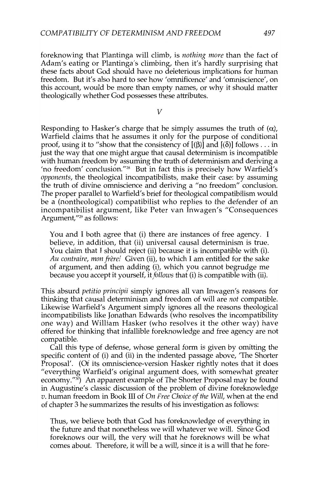foreknowing that Plantinga will climb, is *nothing more* than the fact of Adam's eating or Plantinga's climbing, then it's hardly surprising that these facts about God should have no deleterious implications for human freedom. But it's also hard to see how' omnificence' and 'omniscience', on this account, would be more than empty names, or why it should matter theologically whether God possesses these attributes.

*v* 

Responding to Hasker's charge that he simply assumes the truth of  $(\alpha)$ , Warfield claims that he assumes it only for the purpose of conditional proof, using it to "show that the consistency of  $[(\beta)]$  and  $[(\delta)]$  follows ... in just the way that one might argue that causal determinism is incompatible with human freedom by assuming the truth of determinism and deriving a 'no freedom' conclusion."<sup>28</sup> But in fact this is precisely how Warfield's *opponents,* the theological incompatibilists, make their case: by assuming the truth of divine omniscience and deriving a "no freedom" conclusion. The proper parallel to Warfield's brief for theological compatibilism would be a (nontheological) compatibilist who replies to the defender of an incompatibilist argument, like Peter van Inwagen's "Consequences Argument,"29 as follows:

You and I both agree that (i) there are instances of free agency. I believe, in addition, that (ii) universal causal determinism is true. You claim that I should reject (ii) because it is incompatible with (i). *Au contraire, man frere!* Given (ii), to which I am entitled for the sake of argument, and then adding (i), which you cannot begrudge me because you accept it yourself, it *follows* that (i) is compatible with (ii).

This absurd *petitio principii* simply ignores all van Inwagen's reasons for thinking that causal determinism and freedom of will are *not* compatible. Likewise Warfield's Argument simply ignores all the reasons theological incompatibilists like Jonathan Edwards (who resolves the incompatibility one way) and William Hasker (who resolves it the other way) have offered for thinking that infallible foreknowledge and free agency are not compatible.

Call this type of defense, whose general form is given by omitting the specific content of (i) and (ii) in the indented passage above, 'The Shorter Proposal'. (Of its omniscience-version Hasker rightly notes that it does "everything Warfield's original argument does, with somewhat greater economy."30) An apparent example of The Shorter Proposal may be found in Augustine's classic discussion of the problem of divine foreknowledge *v.* human freedom in Book III of *On Free Choice of the Will,* when at the end of chapter 3 he summarizes the results of his investigation as follows:

Thus, we believe both that God has foreknowledge of everything in the future and that nonetheless we will whatever we will. Since God foreknows our will, the very will that he foreknows will be what comes about. Therefore, it will be a will, since it is a will that he fore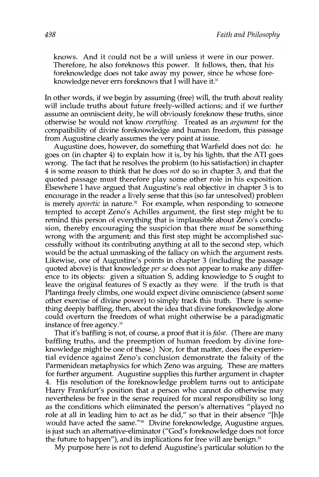knows. And it could not be a will unless it were in our power. Therefore, he also foreknows this power. It follows, then, that his foreknowledge does not take away my power, since he whose foreknowledge never errs foreknows that I will have it.<sup>31</sup>

In other words, if we begin by assuming (free) will, the truth about reality will include truths about future freely-willed actions; and if we further assume an omniscient deity, he will obviously foreknow these truths, since otherwise he would not know *everything.* Treated as an *argument* for the compatibility of divine foreknowledge and human freedom, this passage from Augustine clearly assumes the very point at issue.

Augustine does, however, do something that Warfield does not do: he goes on (in chapter 4) to explain how it is, by his lights, that the AT! goes wrong. The fact that he resolves the problem (to his satisfaction) in chapter 4 is some reason to think that he does *not* do so in chapter 3, and that the quoted passage must therefore play some other role in his exposition. Elsewhere I have argued that Augustine's real objective in chapter 3 is to encourage in the reader a lively sense that this (so far unresolved) problem is merely *aporetic* in nature.<sup>32</sup> For example, when responding to someone tempted to accept Zeno's Achilles argument, the first step might be to remind this person of everything that is implausible about Zeno's conclusion, thereby encouraging the suspicion that there *must* be something wrong with the argument; and this first step might be accomplished successfully without its contributing anything at all to the second step, which would be the actual unmasking of the fallacy on which the argument rests. Likewise, one of Augustine's points in chapter 3 (including the passage quoted above) is that knowledge *per se* does not appear to make any difference to its objects: given a situation 5, adding knowledge to 5 ought to leave the original features of 5 exactly as they were. If the truth is that Plantinga freely climbs, one would expect divine omniscience (absent some other exercise of divine power) to simply track this truth. There is something deeply baffling, then, about the idea that divine foreknowledge alone could overturn the freedom of what might otherwise be a paradigmatic instance of free agency.33

That it's baffling is not, of course, a proof that it is *false.* (There are many baffling truths, and the preemption of human freedom by divine foreknowledge might be one of these.) Nor, for that matter, does the experiential evidence against Zeno's conclusion demonstrate the falsity of the Parmenidean metaphysics for which Zeno was arguing. These are matters for further argument. Augustine supplies this further argument in chapter 4. His resolution of the foreknowledge problem turns out to anticipate Harry Frankfurt's position that a person who cannot do otherwise may nevertheless be free in the sense required for moral responsibility so long as the conditions which eliminated the person's alternatives "played no role at all in leading him to act as he did," so that in their absence "[h]e would have acted the same."34 Divine foreknowledge, Augustine argues, is just such an alternative-eliminator ("God's foreknowledge does not force the future to happen"), and its implications for free will are benign. $35$ 

My purpose here is not to defend Augustine's particular solution to the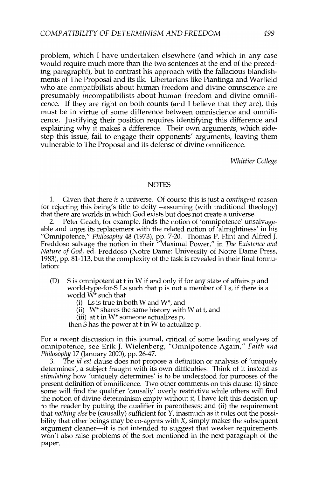problem, which I have undertaken elsewhere (and which in any case would require much more than the two sentences at the end of the preceding paragraph!), but to contrast his approach with the fallacious blandishments of The Proposal and its ilk. Libertarians like Plantinga and Warfield who are compatibilists about human freedom and divine omnscience are presumably incompatibilists about human freedom and divine omnificence. If they are right on both counts (and I believe that they are), this must be in virtue of some difference between omniscience and omnificence. Justifying their position requires identifying this difference and explaining why it makes a difference. Their own arguments, which sidestep this issue, fail to engage their opponents' arguments, leaving them vulnerable to The Proposal and its defense of divine omnificence.

*Whittier College* 

#### **NOTES**

1. Given that there *is* a universe. Of course this is just a *contingent* reason for rejecting this being's title to deity-assuming (with traditional theology) that there are worlds in which God exists but does not create a universe.

2. Peter Geach, for example, finds the notion of 'omnipotence' unsalvageable and urges its replacement with the related notion of 'almightiness' in his "Omnipotence," *Philosophy* 48 (1973), pp. 7-20. Thomas P. Flint and Alfred J. Freddoso salvage the notion in their "Maximal Power," in *The Existence and Nature of God,* ed. Freddoso (Notre Dame: University of Notre Dame Press, 1983), pp. 81-113, but the complexity of the task is revealed in their final formulation:

- (D) S is omnipotent at t in W if and only if for any state of affairs p and world-type-for-S Ls such that p is not a member of Ls, if there is a world  $\dot{W}^*$  such that
	- (i) Ls is true in both W and  $W^*$ , and
	- (ii)  $W^*$  shares the same history with W at t, and
	- (iii) at t in  $W^*$  someone actualizes p,

then S has the power at t in W to actualize p.

For a recent discussion in this journal, critical of some leading analyses of omnipotence, see Erik J. Wielenberg, "Omnipotence Again," *Faith and Philosophy 17 (January 2000), pp. 26-47.* 

3. The *id est* clause does not propose a definition or analysis of 'uniquely determines', a subject fraught with its own difficulties. Think of it instead as *stipulating* how 'uniquely determines' is to be understood for purposes of the present definition of omnificence. Two other comments on this clause: (i) since some will find the qualifier 'causally' overly restrictive while others will find the notion of divine determinism empty without it, I have left this decision up to the reader by putting the qualifier in parentheses; and (ii) the requirement that *nothing else* be (causally) sufficient for Y, inasmuch as it rules out the possibility that other beings may be co-agents with X, simply makes the subsequent argument cleaner-it is not intended to suggest that weaker requirements won't also raise problems of the sort mentioned in the next paragraph of the paper.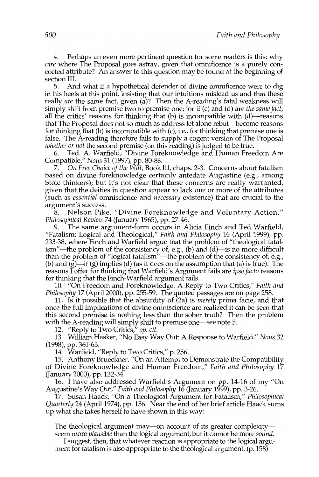4. Perhaps an even more pertinent question for some readers is this: why *care* where The Proposal goes astray, given that omnificence is a purely concocted attribute? An answer to this question may be found at the beginning of section III.

5. And what if a hypothetical defender of divine omnificence were to dig in his heels at this point, insisting that our intuitions mislead us and that these really *are* the same fact, given (a)? Then the A-reading's fatal weakness will simply shift from premise two to premise one; for if (c) and (d) are *the same fact,*  all the critics' reasons for thinking that  $(b)$  is incompatible with  $(d)$ —reasons that The Proposal does not so much as address let alone rebut-become reasons for thinking that (b) is incompatible with (c), i.e., for thinking that premise one is false. The A-reading therefore fails to supply a cogent version of The Proposal *whether or not* the second premise (on this reading) is judged to be true.

6. Ted. A. Warfield, "Divine Foreknowledge and Human Freedom Are Compatible," *Nous* 31 (1997), pp. 80-86.

*7. On Free Choice of the Will,* Book III, chaps. 2-3. Concerns about fatalism based on divine foreknowledge certainly antedate Augustine (e.g., among Stoic thinkers); but it's not clear that these concerns are really warranted, given that the deities in question appear to lack one or more of the attributes (such as *essential* omniscience and *necessary* existence) that are crucial to the argument's success.

8. Nelson Pike, "Divine Foreknowledge and Voluntary Action," *Philosophical Review* 74 Qanuary 1965), pp. 27-46.

9. The same argument-form occurs in Alicia Finch and Ted Warfield, "Fatalism: Logical and Theological," *Faith and Philosophy* 16 (April 1999), pp. 233-38, where Finch and Warfield argue that the problem of "theological fatalism"—the problem of the consistency of, e.g., (b) and (d)—is no more difficult than the problem of "logical fatalism"—the problem of the consistency of, e.g., (b) and  $(g)$ —if  $(g)$  implies  $(d)$  (as it does on the assumption that  $(a)$  is true). The reasons I offer for thinking that Warfield's Argument fails are *ipso facto* reasons for thinking that the Finch-Warfield argument fails.

10. "On Freedom and Foreknowledge: A Reply to Two Critics," *Faith and Philosophy* 17 (April 2000), pp. 255-59. The quoted passages are on page 258.

11. Is it possible that the absurdity of (2a) is *merely* prima facie, and that once the full implications of divine omniscience are realized it can be seen that this second premise is nothing less than the sober truth? Then the problem with the A-reading will simply shift to premise one—see note 5.

12. "Reply to Two Critics," *op. cit.* 

13. William Hasker, "No Easy Way Out: A Response to Warfield," *Nous 32*  (1998), pp. 361-63.

14. Warfield, "Reply to Two Critics," p. 256.

15. Anthony Brueckner, "On an Attempt to Demonstrate the Compatibility of Divine Foreknowledge and Human Freedom," *Faith and Philosophy 17*  Qanuary 2000), pp. 132-34.

16. I have also addressed Warfield's Argument on pp. 14-16 of my "On Augustine's Way Out," *Faith and Philosophy* 16 Qanuary 1999), pp. 3-26.

17. Susan Haack, "On a Theological Argument for Fatalism," *Philosophical Quarterly* 24 (April 1974), pp. 156. Near the end of her brief article Haack sums up what she takes herself to have shown in this way:

The theological argument may—on account of its greater complexity seem more *plausible* than the logical argument; but it cannot be more *sound.* 

I suggest, then, that whatever reaction is appropriate to the logical argument for fatalism is also appropriate to the theological argument. (p. 158)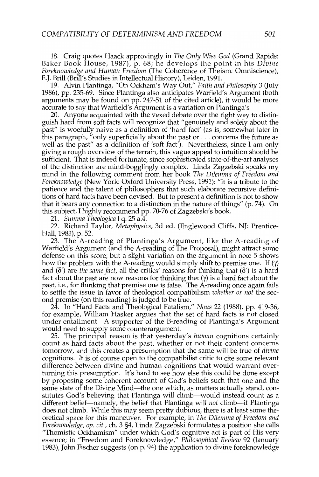18. Craig quotes Haack approvingly in *The Only Wise God* (Grand Rapids: Baker Book House, 1987), p. 68; he develops the point in his *Divine Foreknowledge and Human Freedom* (The Coherence of Theism: Omniscience), E.J. Brill (Brill's Studies in Intellectual History), Leiden, 1991.

19. Alvin Plantinga, "On Ockham's Way Out," *Faith and Philosophy* 3 (July 1986), pp. 235-69. Since Plantinga also anticipates Warfield's Argument (both arguments may be found on pp. 247-51 of the cited article), it would be more accurate to say that Warfield's Argument is a variation on Plantinga's

20. Anyone acquainted with the vexed debate over the right way to distinguish hard from soft facts will recognize that "genuinely and solely about the past" is woefully naive as a definition of 'hard fact' (as is, somewhat later in this paragraph, "only superficially about the past or . . . concerns the future as well as the past" as a definition of 'soft fact'). Nevertheless, since I am only giving a rough overview of the terrain, this vague appeal to intuition should be sufficient. That is indeed fortunate, since sophisticated state-of-the-art analyses of the distinction are mind-bogglingly complex. Linda Zagzebski speaks my mind in the following comment from her book *The Dilemma of Freedom and Foreknowledge* (New York: Oxford University Press, 1991): "It is a tribute to the patience and the talent of philosophers that such elaborate recursive definitions of hard facts have been devised. But to present a definition is not to show that it bears any connection to a distinction in the nature of things" (p. 74). On this subject, I highly recommend pp. 70-76 of Zagzebski's book.

*21. Summa Theologica* I q. 25 a.4.

22. Richard Taylor, *Metaphysics,* 3d ed. (Englewood Cliffs, NJ: Prentice-Hall, 1983), p. 52.

23. The A-reading of Plantinga's Argument, like the A-reading of Warfield's Argument (and the A-reading of The Proposal), might attract some defense on this score; but a slight variation on the argument in note 5 shows how the problem with the A-reading would simply shift to premise one. If  $(\gamma)$ and (8') are *the same fact,* all the critics' reasons for thinking that (8') is a hard fact about the past are now reasons for thinking that  $(\gamma)$  is a hard fact about the past, i.e., for thinking that premise one is false. The A-reading once again fails to settle the issue in favor of theological compatibilism *whether or not* the second premise (on this reading) is judged to be true.

24. In "Hard Facts and Theological Fatalism," *NOlls* 22 (1988), pp. 419-36, for example, William Hasker argues that the set of hard facts is not closed under entailment. A supporter of the B-reading of Plantinga's Argument would need to supply some counterargument.

25. The principal reason is that yesterday'S *human* cognitions certainly count as hard facts about the past, whether or not their content concerns tomorrow, and this creates a presumption that the same will be true of *divine*  cognitions. It is of course open to the compatibilist critic to cite some relevant difference between divine and human cognitions that would warrant overturning this presumption. It's hard to see how else this could be done except by proposing some coherent account of God's beliefs such that one and the same state of the Divine Mind—the one which, as matters actually stand, constitutes God's believing that Plantinga will climb-would instead count as a different belief-namely, the belief that Plantinga will *not* climb-if Plantinga does not climb. While this may seem pretty dubious, there is at least some theoretical space for this maneuver. For example, in *The Dilemma of Freedom and Foreknowledge, op. cit.,* ch. 3 §4, Linda Zagzebski formulates a position she calls "Thomistic Ockhamism" under which God's cognitive act is part of His very essence; in "Freedom and Foreknowledge," *Philosophical Review* 92 (January 1983), John Fischer suggests (on p. 94) the application to divine foreknowledge